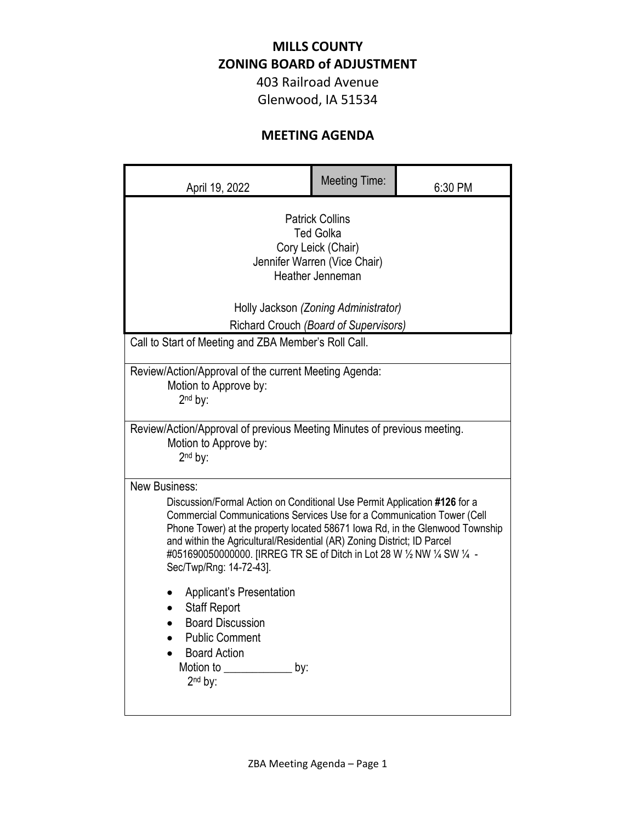## **MILLS COUNTY ZONING BOARD of ADJUSTMENT**

403 Railroad Avenue Glenwood, IA 51534

## **MEETING AGENDA**

| April 19, 2022                                                                                                                                                                                                                                                                                                                                                                                                                                                                                                                                                                                              | <b>Meeting Time:</b> | 6:30 PM |
|-------------------------------------------------------------------------------------------------------------------------------------------------------------------------------------------------------------------------------------------------------------------------------------------------------------------------------------------------------------------------------------------------------------------------------------------------------------------------------------------------------------------------------------------------------------------------------------------------------------|----------------------|---------|
| <b>Patrick Collins</b><br><b>Ted Golka</b><br>Cory Leick (Chair)<br>Jennifer Warren (Vice Chair)<br>Heather Jenneman<br>Holly Jackson (Zoning Administrator)<br>Richard Crouch (Board of Supervisors)                                                                                                                                                                                                                                                                                                                                                                                                       |                      |         |
| Call to Start of Meeting and ZBA Member's Roll Call.                                                                                                                                                                                                                                                                                                                                                                                                                                                                                                                                                        |                      |         |
| Review/Action/Approval of the current Meeting Agenda:<br>Motion to Approve by:<br>2 <sup>nd</sup> by:                                                                                                                                                                                                                                                                                                                                                                                                                                                                                                       |                      |         |
| Review/Action/Approval of previous Meeting Minutes of previous meeting.<br>Motion to Approve by:<br>2 <sup>nd</sup> by:                                                                                                                                                                                                                                                                                                                                                                                                                                                                                     |                      |         |
| New Business:<br>Discussion/Formal Action on Conditional Use Permit Application #126 for a<br>Commercial Communications Services Use for a Communication Tower (Cell<br>Phone Tower) at the property located 58671 lowa Rd, in the Glenwood Township<br>and within the Agricultural/Residential (AR) Zoning District; ID Parcel<br>#051690050000000. [IRREG TR SE of Ditch in Lot 28 W 1/2 NW 1/4 SW 1/4 -<br>Sec/Twp/Rng: 14-72-43].<br><b>Applicant's Presentation</b><br><b>Staff Report</b><br><b>Board Discussion</b><br><b>Public Comment</b><br><b>Board Action</b><br>Motion to<br>by:<br>$2nd$ by: |                      |         |